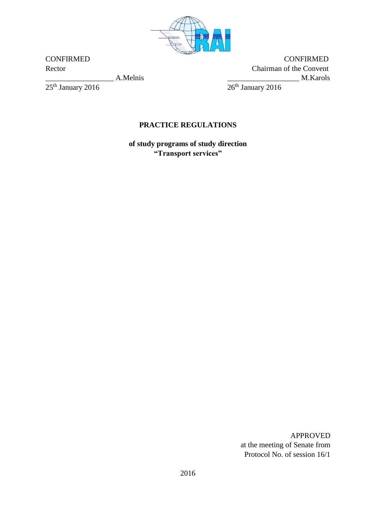

 $25^{\rm th}$  January 2016

CONFIRMED CONFIRMED Rector Chairman of the Convent  $\frac{1}{26^{th}$  January 2016 M.Karols

# **PRACTICE REGULATIONS**

**of study programs of study direction "Transport services"**

> APPROVED at the meeting of Senate from Protocol No. of session 16/1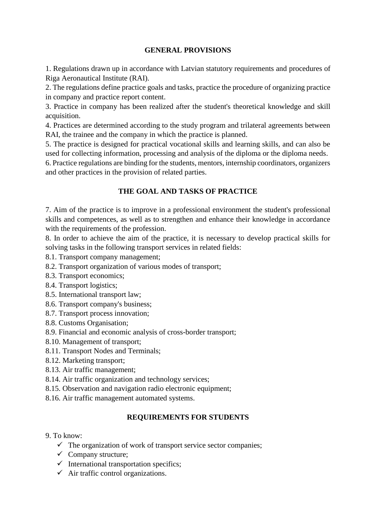#### **GENERAL PROVISIONS**

1. Regulations drawn up in accordance with Latvian statutory requirements and procedures of Riga Aeronautical Institute (RAI).

2. The regulations define practice goals and tasks, practice the procedure of organizing practice in company and practice report content.

3. Practice in company has been realized after the student's theoretical knowledge and skill acquisition.

4. Practices are determined according to the study program and trilateral agreements between RAI, the trainee and the company in which the practice is planned.

5. The practice is designed for practical vocational skills and learning skills, and can also be used for collecting information, processing and analysis of the diploma or the diploma needs.

6. Practice regulations are binding for the students, mentors, internship coordinators, organizers and other practices in the provision of related parties.

## **THE GOAL AND TASKS OF PRACTICE**

7. Aim of the practice is to improve in a professional environment the student's professional skills and competences, as well as to strengthen and enhance their knowledge in accordance with the requirements of the profession.

8. In order to achieve the aim of the practice, it is necessary to develop practical skills for solving tasks in the following transport services in related fields:

- 8.1. Transport company management;
- 8.2. Transport organization of various modes of transport;
- 8.3. Transport economics;
- 8.4. Transport logistics;
- 8.5. International transport law;
- 8.6. Transport company's business;
- 8.7. Transport process innovation;
- 8.8. Customs Organisation;
- 8.9. Financial and economic analysis of cross-border transport;
- 8.10. Management of transport;
- 8.11. Transport Nodes and Terminals;
- 8.12. Marketing transport;
- 8.13. Air traffic management;
- 8.14. Air traffic organization and technology services;
- 8.15. Observation and navigation radio electronic equipment;
- 8.16. Air traffic management automated systems.

#### **REQUIREMENTS FOR STUDENTS**

- 9. To know:
	- $\checkmark$  The organization of work of transport service sector companies;
	- $\checkmark$  Company structure;
	- $\checkmark$  International transportation specifics;
	- $\checkmark$  Air traffic control organizations.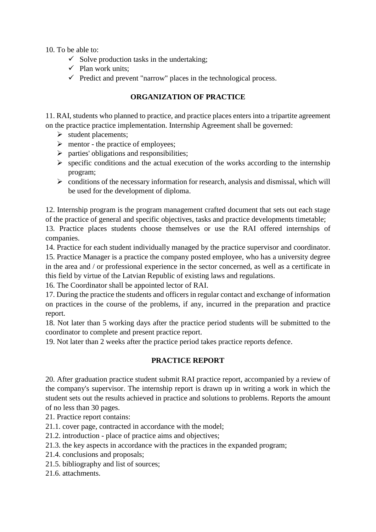10. To be able to:

- $\checkmark$  Solve production tasks in the undertaking;
- $\checkmark$  Plan work units:
- $\checkmark$  Predict and prevent "narrow" places in the technological process.

## **ORGANIZATION OF PRACTICE**

11. RAI, students who planned to practice, and practice places enters into a tripartite agreement on the practice practice implementation. Internship Agreement shall be governed:

- $\triangleright$  student placements;
- $\triangleright$  mentor the practice of employees;
- $\triangleright$  parties' obligations and responsibilities;
- $\triangleright$  specific conditions and the actual execution of the works according to the internship program;
- $\triangleright$  conditions of the necessary information for research, analysis and dismissal, which will be used for the development of diploma.

12. Internship program is the program management crafted document that sets out each stage of the practice of general and specific objectives, tasks and practice developments timetable;

13. Practice places students choose themselves or use the RAI offered internships of companies.

14. Practice for each student individually managed by the practice supervisor and coordinator.

15. Practice Manager is a practice the company posted employee, who has a university degree in the area and / or professional experience in the sector concerned, as well as a certificate in this field by virtue of the Latvian Republic of existing laws and regulations.

16. The Coordinator shall be appointed lector of RAI.

17. During the practice the students and officers in regular contact and exchange of information on practices in the course of the problems, if any, incurred in the preparation and practice report.

18. Not later than 5 working days after the practice period students will be submitted to the coordinator to complete and present practice report.

19. Not later than 2 weeks after the practice period takes practice reports defence.

#### **PRACTICE REPORT**

20. After graduation practice student submit RAI practice report, accompanied by a review of the company's supervisor. The internship report is drawn up in writing a work in which the student sets out the results achieved in practice and solutions to problems. Reports the amount of no less than 30 pages.

21. Practice report contains:

21.1. cover page, contracted in accordance with the model;

21.2. introduction - place of practice aims and objectives;

21.3. the key aspects in accordance with the practices in the expanded program;

- 21.4. conclusions and proposals;
- 21.5. bibliography and list of sources;

21.6. attachments.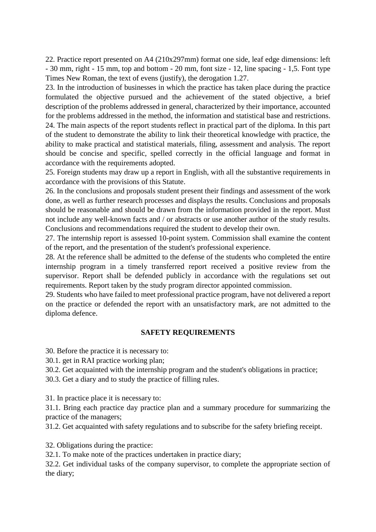22. Practice report presented on A4 (210x297mm) format one side, leaf edge dimensions: left - 30 mm, right - 15 mm, top and bottom - 20 mm, font size - 12, line spacing - 1,5. Font type Times New Roman, the text of evens (justify), the derogation 1.27.

23. In the introduction of businesses in which the practice has taken place during the practice formulated the objective pursued and the achievement of the stated objective, a brief description of the problems addressed in general, characterized by their importance, accounted for the problems addressed in the method, the information and statistical base and restrictions. 24. The main aspects of the report students reflect in practical part of the diploma. In this part of the student to demonstrate the ability to link their theoretical knowledge with practice, the ability to make practical and statistical materials, filing, assessment and analysis. The report should be concise and specific, spelled correctly in the official language and format in accordance with the requirements adopted.

25. Foreign students may draw up a report in English, with all the substantive requirements in accordance with the provisions of this Statute.

26. In the conclusions and proposals student present their findings and assessment of the work done, as well as further research processes and displays the results. Conclusions and proposals should be reasonable and should be drawn from the information provided in the report. Must not include any well-known facts and / or abstracts or use another author of the study results. Conclusions and recommendations required the student to develop their own.

27. The internship report is assessed 10-point system. Commission shall examine the content of the report, and the presentation of the student's professional experience.

28. At the reference shall be admitted to the defense of the students who completed the entire internship program in a timely transferred report received a positive review from the supervisor. Report shall be defended publicly in accordance with the regulations set out requirements. Report taken by the study program director appointed commission.

29. Students who have failed to meet professional practice program, have not delivered a report on the practice or defended the report with an unsatisfactory mark, are not admitted to the diploma defence.

#### **SAFETY REQUIREMENTS**

30. Before the practice it is necessary to:

30.1. get in RAI practice working plan;

30.2. Get acquainted with the internship program and the student's obligations in practice;

30.3. Get a diary and to study the practice of filling rules.

31. In practice place it is necessary to:

31.1. Bring each practice day practice plan and a summary procedure for summarizing the practice of the managers;

31.2. Get acquainted with safety regulations and to subscribe for the safety briefing receipt.

32. Obligations during the practice:

32.1. To make note of the practices undertaken in practice diary;

32.2. Get individual tasks of the company supervisor, to complete the appropriate section of the diary;